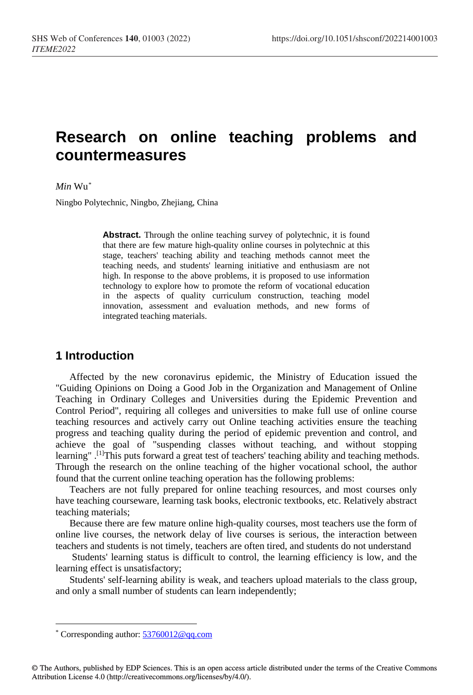# **Research on online teaching problems and countermeasures**

#### *Min* Wu[\\*](#page-0-0)

Ningbo Polytechnic, Ningbo, Zhejiang, China

**Abstract.** Through the online teaching survey of polytechnic, it is found that there are few mature high-quality online courses in polytechnic at this stage, teachers' teaching ability and teaching methods cannot meet the teaching needs, and students' learning initiative and enthusiasm are not high. In response to the above problems, it is proposed to use information technology to explore how to promote the reform of vocational education in the aspects of quality curriculum construction, teaching model innovation, assessment and evaluation methods, and new forms of integrated teaching materials.

#### **1 Introduction**

Affected by the new coronavirus epidemic, the Ministry of Education issued the "Guiding Opinions on Doing a Good Job in the Organization and Management of Online Teaching in Ordinary Colleges and Universities during the Epidemic Prevention and Control Period", requiring all colleges and universities to make full use of online course teaching resources and actively carry out Online teaching activities ensure the teaching progress and teaching quality during the period of epidemic prevention and control, and achieve the goal of "suspending classes without teaching, and without stopping learning".<sup>[1]</sup>This puts forward a great test of teachers' teaching ability and teaching methods. Through the research on the online teaching of the higher vocational school, the author found that the current online teaching operation has the following problems:

Teachers are not fully prepared for online teaching resources, and most courses only have teaching courseware, learning task books, electronic textbooks, etc. Relatively abstract teaching materials;

Because there are few mature online high-quality courses, most teachers use the form of online live courses, the network delay of live courses is serious, the interaction between teachers and students is not timely, teachers are often tired, and students do not understand

Students' learning status is difficult to control, the learning efficiency is low, and the learning effect is unsatisfactory;

Students' self-learning ability is weak, and teachers upload materials to the class group, and only a small number of students can learn independently;

<span id="page-0-0"></span> <sup>\*</sup> Corresponding author[: 53760012@qq.com](mailto:53760012@qq.com)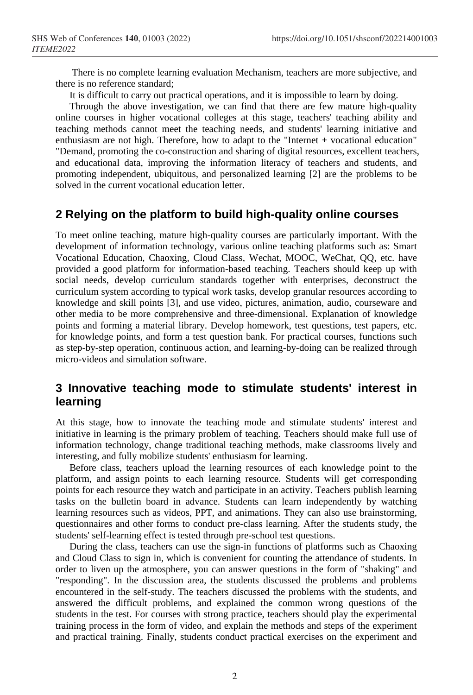There is no complete learning evaluation Mechanism, teachers are more subjective, and there is no reference standard;

It is difficult to carry out practical operations, and it is impossible to learn by doing.

Through the above investigation, we can find that there are few mature high-quality online courses in higher vocational colleges at this stage, teachers' teaching ability and teaching methods cannot meet the teaching needs, and students' learning initiative and enthusiasm are not high. Therefore, how to adapt to the "Internet + vocational education" "Demand, promoting the co-construction and sharing of digital resources, excellent teachers, and educational data, improving the information literacy of teachers and students, and promoting independent, ubiquitous, and personalized learning [2] are the problems to be solved in the current vocational education letter.

#### **2 Relying on the platform to build high-quality online courses**

To meet online teaching, mature high-quality courses are particularly important. With the development of information technology, various online teaching platforms such as: Smart Vocational Education, Chaoxing, Cloud Class, Wechat, MOOC, WeChat, QQ, etc. have provided a good platform for information-based teaching. Teachers should keep up with social needs, develop curriculum standards together with enterprises, deconstruct the curriculum system according to typical work tasks, develop granular resources according to knowledge and skill points [3], and use video, pictures, animation, audio, courseware and other media to be more comprehensive and three-dimensional. Explanation of knowledge points and forming a material library. Develop homework, test questions, test papers, etc. for knowledge points, and form a test question bank. For practical courses, functions such as step-by-step operation, continuous action, and learning-by-doing can be realized through micro-videos and simulation software.

#### **3 Innovative teaching mode to stimulate students' interest in learning**

At this stage, how to innovate the teaching mode and stimulate students' interest and initiative in learning is the primary problem of teaching. Teachers should make full use of information technology, change traditional teaching methods, make classrooms lively and interesting, and fully mobilize students' enthusiasm for learning.

Before class, teachers upload the learning resources of each knowledge point to the platform, and assign points to each learning resource. Students will get corresponding points for each resource they watch and participate in an activity. Teachers publish learning tasks on the bulletin board in advance. Students can learn independently by watching learning resources such as videos, PPT, and animations. They can also use brainstorming, questionnaires and other forms to conduct pre-class learning. After the students study, the students' self-learning effect is tested through pre-school test questions.

During the class, teachers can use the sign-in functions of platforms such as Chaoxing and Cloud Class to sign in, which is convenient for counting the attendance of students. In order to liven up the atmosphere, you can answer questions in the form of "shaking" and "responding". In the discussion area, the students discussed the problems and problems encountered in the self-study. The teachers discussed the problems with the students, and answered the difficult problems, and explained the common wrong questions of the students in the test. For courses with strong practice, teachers should play the experimental training process in the form of video, and explain the methods and steps of the experiment and practical training. Finally, students conduct practical exercises on the experiment and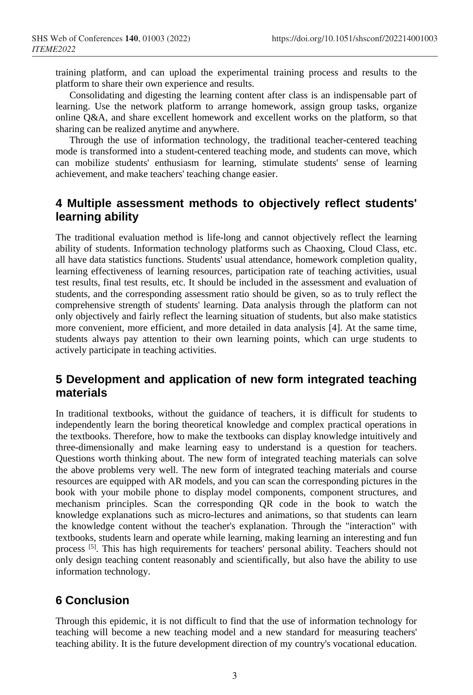training platform, and can upload the experimental training process and results to the platform to share their own experience and results.

Consolidating and digesting the learning content after class is an indispensable part of learning. Use the network platform to arrange homework, assign group tasks, organize online Q&A, and share excellent homework and excellent works on the platform, so that sharing can be realized anytime and anywhere.

Through the use of information technology, the traditional teacher-centered teaching mode is transformed into a student-centered teaching mode, and students can move, which can mobilize students' enthusiasm for learning, stimulate students' sense of learning achievement, and make teachers' teaching change easier.

### **4 Multiple assessment methods to objectively reflect students' learning ability**

The traditional evaluation method is life-long and cannot objectively reflect the learning ability of students. Information technology platforms such as Chaoxing, Cloud Class, etc. all have data statistics functions. Students' usual attendance, homework completion quality, learning effectiveness of learning resources, participation rate of teaching activities, usual test results, final test results, etc. It should be included in the assessment and evaluation of students, and the corresponding assessment ratio should be given, so as to truly reflect the comprehensive strength of students' learning. Data analysis through the platform can not only objectively and fairly reflect the learning situation of students, but also make statistics more convenient, more efficient, and more detailed in data analysis [4]. At the same time, students always pay attention to their own learning points, which can urge students to actively participate in teaching activities.

## **5 Development and application of new form integrated teaching materials**

In traditional textbooks, without the guidance of teachers, it is difficult for students to independently learn the boring theoretical knowledge and complex practical operations in the textbooks. Therefore, how to make the textbooks can display knowledge intuitively and three-dimensionally and make learning easy to understand is a question for teachers. Questions worth thinking about. The new form of integrated teaching materials can solve the above problems very well. The new form of integrated teaching materials and course resources are equipped with AR models, and you can scan the corresponding pictures in the book with your mobile phone to display model components, component structures, and mechanism principles. Scan the corresponding QR code in the book to watch the knowledge explanations such as micro-lectures and animations, so that students can learn the knowledge content without the teacher's explanation. Through the "interaction" with textbooks, students learn and operate while learning, making learning an interesting and fun process [5]. This has high requirements for teachers' personal ability. Teachers should not only design teaching content reasonably and scientifically, but also have the ability to use information technology.

# **6 Conclusion**

Through this epidemic, it is not difficult to find that the use of information technology for teaching will become a new teaching model and a new standard for measuring teachers' teaching ability. It is the future development direction of my country's vocational education.